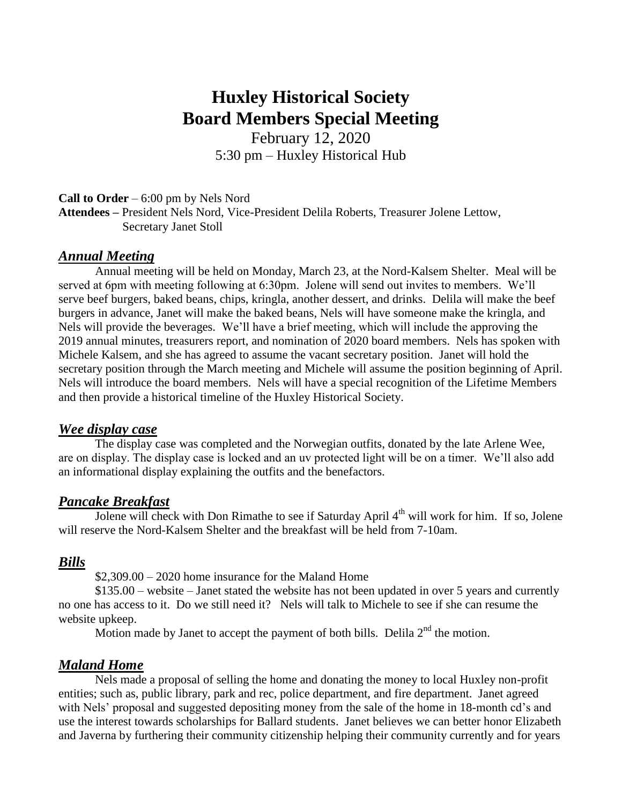# **Huxley Historical Society Board Members Special Meeting**

February 12, 2020 5:30 pm – Huxley Historical Hub

# **Call to Order** – 6:00 pm by Nels Nord **Attendees –** President Nels Nord, Vice-President Delila Roberts, Treasurer Jolene Lettow, Secretary Janet Stoll

# *Annual Meeting*

Annual meeting will be held on Monday, March 23, at the Nord-Kalsem Shelter. Meal will be served at 6pm with meeting following at 6:30pm. Jolene will send out invites to members. We'll serve beef burgers, baked beans, chips, kringla, another dessert, and drinks. Delila will make the beef burgers in advance, Janet will make the baked beans, Nels will have someone make the kringla, and Nels will provide the beverages. We'll have a brief meeting, which will include the approving the 2019 annual minutes, treasurers report, and nomination of 2020 board members. Nels has spoken with Michele Kalsem, and she has agreed to assume the vacant secretary position. Janet will hold the secretary position through the March meeting and Michele will assume the position beginning of April. Nels will introduce the board members. Nels will have a special recognition of the Lifetime Members and then provide a historical timeline of the Huxley Historical Society.

#### *Wee display case*

The display case was completed and the Norwegian outfits, donated by the late Arlene Wee, are on display. The display case is locked and an uv protected light will be on a timer. We'll also add an informational display explaining the outfits and the benefactors.

#### *Pancake Breakfast*

Jolene will check with Don Rimathe to see if Saturday April 4<sup>th</sup> will work for him. If so, Jolene will reserve the Nord-Kalsem Shelter and the breakfast will be held from 7-10am.

#### *Bills*

 $$2,309.00 - 2020$  home insurance for the Maland Home

\$135.00 – website – Janet stated the website has not been updated in over 5 years and currently no one has access to it. Do we still need it? Nels will talk to Michele to see if she can resume the website upkeep.

Motion made by Janet to accept the payment of both bills. Delila  $2<sup>nd</sup>$  the motion.

## *Maland Home*

Nels made a proposal of selling the home and donating the money to local Huxley non-profit entities; such as, public library, park and rec, police department, and fire department. Janet agreed with Nels' proposal and suggested depositing money from the sale of the home in 18-month cd's and use the interest towards scholarships for Ballard students. Janet believes we can better honor Elizabeth and Javerna by furthering their community citizenship helping their community currently and for years